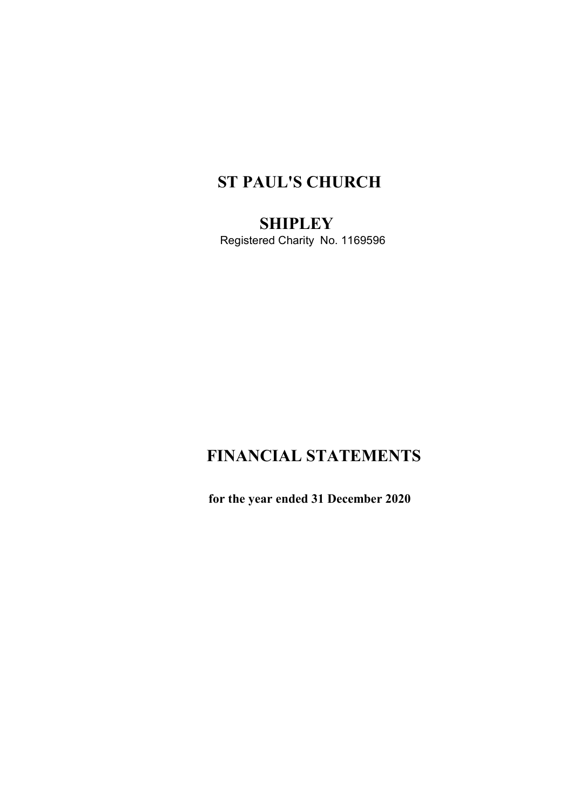# ST PAUL'S CHURCH

**SHIPLEY** Registered Charity No. 1169596

# FINANCIAL STATEMENTS

for the year ended 31 December 2020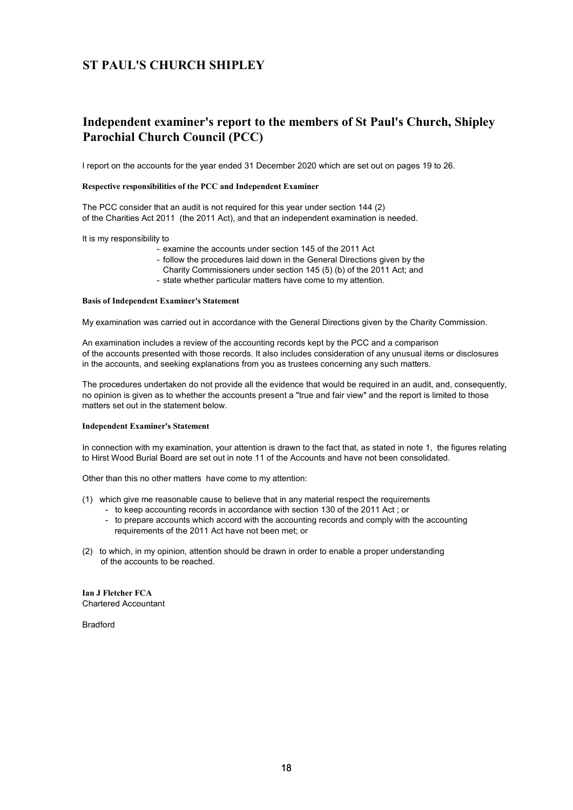# Independent examiner's report to the members of St Paul's Church, Shipley Parochial Church Council (PCC)

I report on the accounts for the year ended 31 December 2020 which are set out on pages 19 to 26.

#### Respective responsibilities of the PCC and Independent Examiner

The PCC consider that an audit is not required for this year under section 144 (2) of the Charities Act 2011 (the 2011 Act), and that an independent examination is needed.

It is my responsibility to

- examine the accounts under section 145 of the 2011 Act
- follow the procedures laid down in the General Directions given by the
- Charity Commissioners under section 145 (5) (b) of the 2011 Act; and
- state whether particular matters have come to my attention.

#### Basis of Independent Examiner's Statement

My examination was carried out in accordance with the General Directions given by the Charity Commission.

An examination includes a review of the accounting records kept by the PCC and a comparison of the accounts presented with those records. It also includes consideration of any unusual items or disclosures in the accounts, and seeking explanations from you as trustees concerning any such matters.

The procedures undertaken do not provide all the evidence that would be required in an audit, and, consequently, no opinion is given as to whether the accounts present a "true and fair view" and the report is limited to those matters set out in the statement below.

#### Independent Examiner's Statement

In connection with my examination, your attention is drawn to the fact that, as stated in note 1, the figures relating to Hirst Wood Burial Board are set out in note 11 of the Accounts and have not been consolidated.

Other than this no other matters have come to my attention:

- (1) which give me reasonable cause to believe that in any material respect the requirements
	- to keep accounting records in accordance with section 130 of the 2011 Act ; or
	- to prepare accounts which accord with the accounting records and comply with the accounting requirements of the 2011 Act have not been met; or
- (2) to which, in my opinion, attention should be drawn in order to enable a proper understanding of the accounts to be reached.

Ian J Fletcher FCA Chartered Accountant

Bradford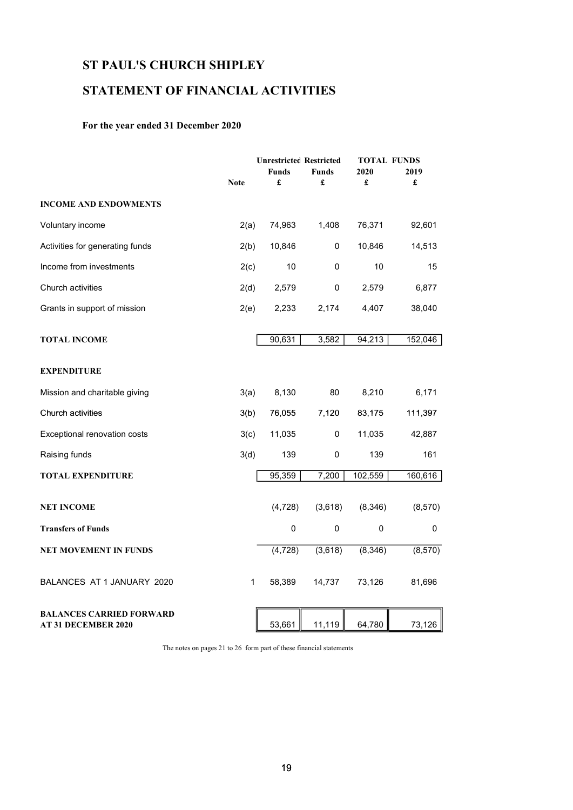# STATEMENT OF FINANCIAL ACTIVITIES

### For the year ended 31 December 2020

|                                                               |             | <b>Unrestricted Restricted</b> |              |             | <b>TOTAL FUNDS</b> |  |  |
|---------------------------------------------------------------|-------------|--------------------------------|--------------|-------------|--------------------|--|--|
|                                                               |             | <b>Funds</b>                   | <b>Funds</b> | 2020        | 2019               |  |  |
|                                                               | <b>Note</b> | £                              | £            | £           | £                  |  |  |
| <b>INCOME AND ENDOWMENTS</b>                                  |             |                                |              |             |                    |  |  |
| Voluntary income                                              | 2(a)        | 74,963                         | 1,408        | 76,371      | 92,601             |  |  |
| Activities for generating funds                               | 2(b)        | 10,846                         | 0            | 10,846      | 14,513             |  |  |
| Income from investments                                       | 2(c)        | 10                             | 0            | 10          | 15                 |  |  |
| Church activities                                             | 2(d)        | 2,579                          | 0            | 2,579       | 6,877              |  |  |
| Grants in support of mission                                  | 2(e)        | 2,233                          | 2,174        | 4,407       | 38,040             |  |  |
| <b>TOTAL INCOME</b>                                           |             | 90,631                         | 3,582        | 94,213      | 152,046            |  |  |
| <b>EXPENDITURE</b>                                            |             |                                |              |             |                    |  |  |
| Mission and charitable giving                                 | 3(a)        | 8,130                          | 80           | 8,210       | 6,171              |  |  |
| Church activities                                             | 3(b)        | 76,055                         | 7,120        | 83,175      | 111,397            |  |  |
| Exceptional renovation costs                                  | 3(c)        | 11,035                         | 0            | 11,035      | 42,887             |  |  |
| Raising funds                                                 | 3(d)        | 139                            | 0            | 139         | 161                |  |  |
| <b>TOTAL EXPENDITURE</b>                                      |             | 95,359                         | 7,200        | 102,559     | 160,616            |  |  |
| <b>NET INCOME</b>                                             |             | (4,728)                        | (3,618)      | (8, 346)    | (8,570)            |  |  |
| <b>Transfers of Funds</b>                                     |             | $\mathsf 0$                    | $\pmb{0}$    | $\mathbf 0$ | 0                  |  |  |
| <b>NET MOVEMENT IN FUNDS</b>                                  |             | (4, 728)                       | (3,618)      | (8,346)     | (8, 570)           |  |  |
| BALANCES AT 1 JANUARY 2020                                    | 1           | 58,389                         | 14,737       | 73,126      | 81,696             |  |  |
| <b>BALANCES CARRIED FORWARD</b><br><b>AT 31 DECEMBER 2020</b> |             | 53,661                         | 11,119       | 64,780      | 73,126             |  |  |

The notes on pages 21 to 26 form part of these financial statements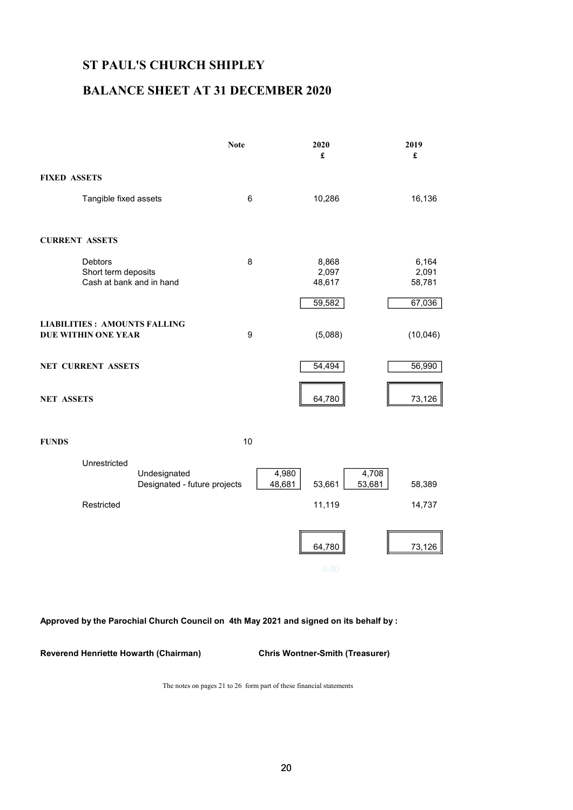## BALANCE SHEET AT 31 DECEMBER 2020

|                                                                   | <b>Note</b> | 2020<br>£                | 2019<br>£                |
|-------------------------------------------------------------------|-------------|--------------------------|--------------------------|
| <b>FIXED ASSETS</b>                                               |             |                          |                          |
| Tangible fixed assets                                             | 6           | 10,286                   | 16,136                   |
| <b>CURRENT ASSETS</b>                                             |             |                          |                          |
| <b>Debtors</b><br>Short term deposits<br>Cash at bank and in hand | 8           | 8,868<br>2,097<br>48,617 | 6,164<br>2,091<br>58,781 |
|                                                                   |             | 59,582                   | 67,036                   |
| <b>LIABILITIES: AMOUNTS FALLING</b><br><b>DUE WITHIN ONE YEAR</b> | 9           | (5,088)                  | (10,046)                 |
| <b>NET CURRENT ASSETS</b>                                         |             | 54,494                   | 56,990                   |
| <b>NET ASSETS</b>                                                 |             | 64,780                   | 73,126                   |

FUNDS 10



### Approved by the Parochial Church Council on 4th May 2021 and signed on its behalf by :

Reverend Henriette Howarth (Chairman) Chris Wontner-Smith (Treasurer)

The notes on pages 21 to 26 form part of these financial statements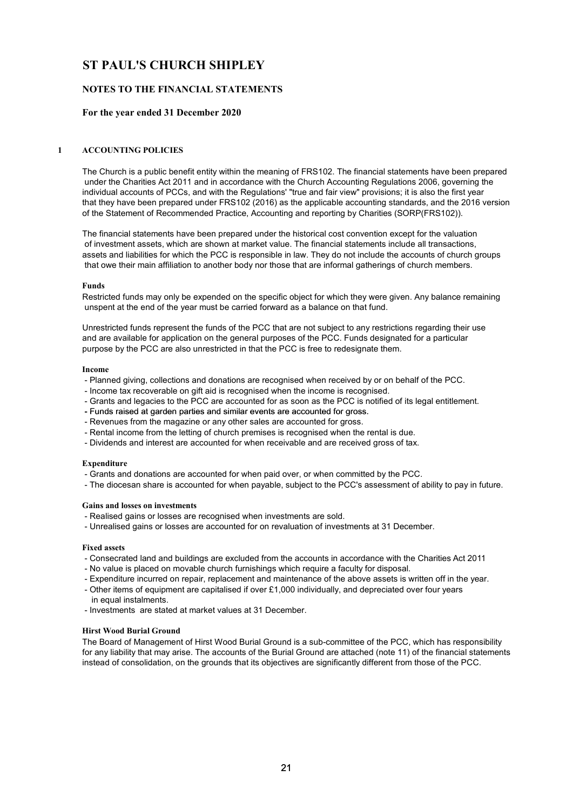### NOTES TO THE FINANCIAL STATEMENTS

#### For the year ended 31 December 2020

#### 1 ACCOUNTING POLICIES

The Church is a public benefit entity within the meaning of FRS102. The financial statements have been prepared under the Charities Act 2011 and in accordance with the Church Accounting Regulations 2006, governing the individual accounts of PCCs, and with the Regulations' "true and fair view" provisions; it is also the first year that they have been prepared under FRS102 (2016) as the applicable accounting standards, and the 2016 version of the Statement of Recommended Practice, Accounting and reporting by Charities (SORP(FRS102)).

The financial statements have been prepared under the historical cost convention except for the valuation of investment assets, which are shown at market value. The financial statements include all transactions, assets and liabilities for which the PCC is responsible in law. They do not include the accounts of church groups that owe their main affiliation to another body nor those that are informal gatherings of church members.

#### Funds

Restricted funds may only be expended on the specific object for which they were given. Any balance remaining unspent at the end of the year must be carried forward as a balance on that fund.

Unrestricted funds represent the funds of the PCC that are not subject to any restrictions regarding their use and are available for application on the general purposes of the PCC. Funds designated for a particular purpose by the PCC are also unrestricted in that the PCC is free to redesignate them.

#### Income

- Planned giving, collections and donations are recognised when received by or on behalf of the PCC.
- Income tax recoverable on gift aid is recognised when the income is recognised.
- Grants and legacies to the PCC are accounted for as soon as the PCC is notified of its legal entitlement.
- Funds raised at garden parties and similar events are accounted for gross.
- Revenues from the magazine or any other sales are accounted for gross.
- Rental income from the letting of church premises is recognised when the rental is due.
- Dividends and interest are accounted for when receivable and are received gross of tax.

#### Expenditure

- Grants and donations are accounted for when paid over, or when committed by the PCC.
- The diocesan share is accounted for when payable, subject to the PCC's assessment of ability to pay in future.

#### Gains and losses on investments

- Realised gains or losses are recognised when investments are sold.
- Unrealised gains or losses are accounted for on revaluation of investments at 31 December.

#### Fixed assets

- Consecrated land and buildings are excluded from the accounts in accordance with the Charities Act 2011
- No value is placed on movable church furnishings which require a faculty for disposal.
- Expenditure incurred on repair, replacement and maintenance of the above assets is written off in the year. - Other items of equipment are capitalised if over £1,000 individually, and depreciated over four years
- in equal instalments.
- Investments are stated at market values at 31 December.

#### Hirst Wood Burial Ground

The Board of Management of Hirst Wood Burial Ground is a sub-committee of the PCC, which has responsibility for any liability that may arise. The accounts of the Burial Ground are attached (note 11) of the financial statements instead of consolidation, on the grounds that its objectives are significantly different from those of the PCC.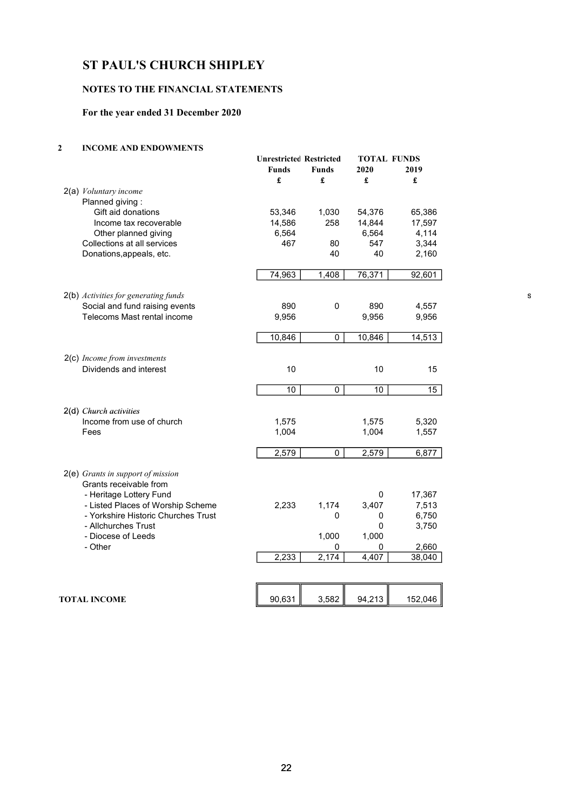### NOTES TO THE FINANCIAL STATEMENTS

### For the year ended 31 December 2020

### 2 INCOME AND ENDOWMENTS

| OME ARD ERDO WAIER IS                             |                                                     |                   |                 |                                 |
|---------------------------------------------------|-----------------------------------------------------|-------------------|-----------------|---------------------------------|
|                                                   | <b>Unrestricted Restricted</b><br><b>Funds</b><br>£ | <b>Funds</b><br>£ | 2020<br>£       | <b>TOTAL FUNDS</b><br>2019<br>£ |
| 2(a) Voluntary income                             |                                                     |                   |                 |                                 |
| Planned giving:                                   |                                                     |                   |                 |                                 |
| Gift aid donations                                | 53,346                                              | 1,030             | 54,376          | 65,386                          |
| Income tax recoverable                            | 14,586                                              | 258               | 14,844          | 17,597                          |
| Other planned giving                              | 6,564                                               |                   | 6,564           | 4,114                           |
| Collections at all services                       | 467                                                 | 80                | 547             | 3,344                           |
| Donations, appeals, etc.                          |                                                     | 40                | 40              | 2,160                           |
|                                                   |                                                     |                   |                 |                                 |
|                                                   | 74,963                                              | 1,408             | 76,371          | 92,601                          |
| 2(b) Activities for generating funds              |                                                     |                   |                 |                                 |
| Social and fund raising events                    | 890                                                 | $\pmb{0}$         | 890             | 4,557                           |
| Telecoms Mast rental income                       | 9,956                                               |                   | 9,956           | 9,956                           |
|                                                   |                                                     |                   |                 |                                 |
|                                                   | 10,846                                              | $\mathbf 0$       | 10,846          | 14,513                          |
|                                                   |                                                     |                   |                 |                                 |
| 2(c) Income from investments                      |                                                     |                   |                 |                                 |
| Dividends and interest                            | 10                                                  |                   | 10              | 15                              |
|                                                   | $\overline{10}$                                     | $\overline{0}$    | $\overline{10}$ | 15                              |
|                                                   |                                                     |                   |                 |                                 |
| 2(d) Church activities                            |                                                     |                   |                 |                                 |
| Income from use of church                         | 1,575                                               |                   | 1,575           | 5,320                           |
| Fees                                              | 1,004                                               |                   | 1,004           | 1,557                           |
|                                                   |                                                     |                   |                 |                                 |
|                                                   | 2,579                                               | $\mathbf 0$       | 2,579           | 6,877                           |
| 2(e) Grants in support of mission                 |                                                     |                   |                 |                                 |
| Grants receivable from<br>- Heritage Lottery Fund |                                                     |                   | 0               | 17,367                          |
| - Listed Places of Worship Scheme                 | 2,233                                               | 1,174             | 3,407           | 7,513                           |
| - Yorkshire Historic Churches Trust               |                                                     | $\mathbf 0$       | 0               | 6,750                           |
| - Allchurches Trust                               |                                                     |                   | 0               | 3,750                           |
| - Diocese of Leeds                                |                                                     | 1,000             | 1,000           |                                 |
| - Other                                           |                                                     | 0                 | 0               | 2,660                           |
|                                                   | 2,233                                               | 2,174             | 4,407           | 38,040                          |
|                                                   |                                                     |                   |                 |                                 |
|                                                   |                                                     |                   |                 |                                 |
|                                                   | 90,631                                              | 3,582             | 94,213          | 152,046                         |
| <b>TOTAL INCOME</b>                               |                                                     |                   |                 |                                 |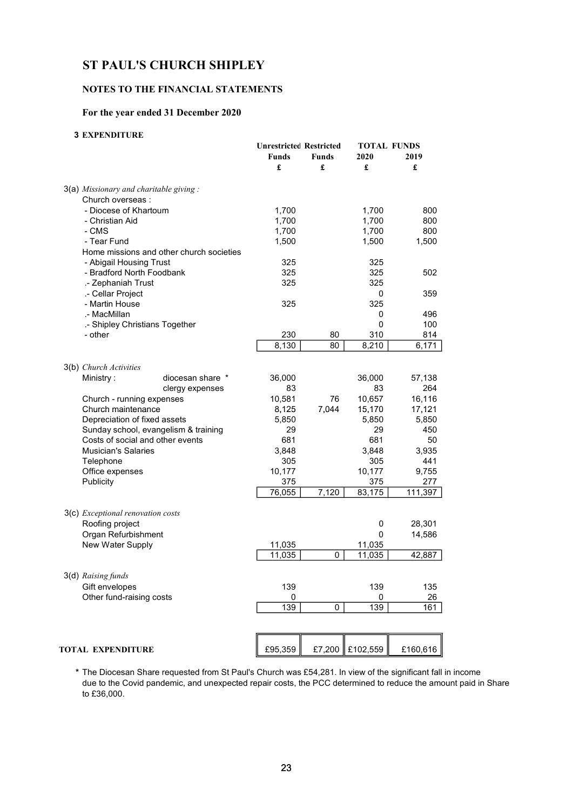### NOTES TO THE FINANCIAL STATEMENTS

### For the year ended 31 December 2020

### 3 EXPENDITURE

|                                           |                                          | <b>Unrestricted Restricted</b><br>Funds<br>£ | <b>Funds</b><br>£ | 2020<br>£       | <b>TOTAL FUNDS</b><br>2019<br>£ |
|-------------------------------------------|------------------------------------------|----------------------------------------------|-------------------|-----------------|---------------------------------|
| $3(a)$ Missionary and charitable giving : |                                          |                                              |                   |                 |                                 |
| Church overseas :                         |                                          |                                              |                   |                 |                                 |
| - Diocese of Khartoum                     |                                          | 1,700                                        |                   | 1,700           | 800                             |
| - Christian Aid                           |                                          | 1,700                                        |                   | 1,700           | 800                             |
| - CMS                                     |                                          | 1,700                                        |                   | 1,700           | 800                             |
| - Tear Fund                               |                                          | 1,500                                        |                   | 1,500           | 1,500                           |
|                                           | Home missions and other church societies |                                              |                   |                 |                                 |
| - Abigail Housing Trust                   |                                          | 325                                          |                   | 325             |                                 |
| - Bradford North Foodbank                 |                                          | 325                                          |                   | 325             | 502                             |
| .- Zephaniah Trust                        |                                          | 325                                          |                   | 325             |                                 |
| .- Cellar Project                         |                                          |                                              |                   | 0               | 359                             |
| - Martin House                            |                                          | 325                                          |                   | 325             |                                 |
| .- MacMillan                              |                                          |                                              |                   | 0               | 496                             |
|                                           | .- Shipley Christians Together           |                                              |                   | 0               | 100                             |
| - other                                   |                                          | 230                                          | 80                | 310             | 814                             |
|                                           |                                          | 8,130                                        | 80                | 8,210           | 6,171                           |
| 3(b) Church Activities                    |                                          |                                              |                   |                 |                                 |
| Ministry:                                 | diocesan share *                         | 36,000                                       |                   | 36,000          | 57,138                          |
|                                           | clergy expenses                          | 83                                           |                   | 83              | 264                             |
| Church - running expenses                 |                                          | 10,581                                       | 76                | 10,657          | 16,116                          |
| Church maintenance                        |                                          | 8,125                                        | 7,044             | 15,170          | 17,121                          |
| Depreciation of fixed assets              |                                          | 5,850                                        |                   | 5,850           | 5,850                           |
|                                           | Sunday school, evangelism & training     | 29                                           |                   | 29              | 450                             |
|                                           | Costs of social and other events         | 681                                          |                   | 681             | 50                              |
| <b>Musician's Salaries</b>                |                                          | 3,848                                        |                   | 3,848           | 3,935                           |
| Telephone                                 |                                          | 305                                          |                   | 305             | 441                             |
| Office expenses                           |                                          | 10,177                                       |                   | 10,177          | 9,755                           |
| Publicity                                 |                                          | 375                                          |                   | 375             | 277                             |
|                                           |                                          | 76,055                                       | 7,120             | 83,175          | 111,397                         |
| 3(c) Exceptional renovation costs         |                                          |                                              |                   |                 |                                 |
| Roofing project                           |                                          |                                              |                   | 0               | 28,301                          |
| Organ Refurbishment                       |                                          |                                              |                   | 0               | 14,586                          |
| New Water Supply                          |                                          | 11,035                                       |                   | 11,035          |                                 |
|                                           |                                          | 11,035                                       | 0                 | 11,035          | 42,887                          |
|                                           |                                          |                                              |                   |                 |                                 |
| 3(d) Raising funds                        |                                          |                                              |                   |                 |                                 |
| Gift envelopes                            |                                          | 139                                          |                   | 139             | 135                             |
| Other fund-raising costs                  |                                          | 0                                            |                   | 0               | 26                              |
|                                           |                                          | 139                                          | 0                 | 139             | 161                             |
|                                           |                                          |                                              |                   |                 |                                 |
| <b>TOTAL EXPENDITURE</b>                  |                                          | £95,359                                      |                   | £7,200 £102,559 | £160,616                        |
|                                           |                                          |                                              |                   |                 |                                 |

\* The Diocesan Share requested from St Paul's Church was £54,281. In view of the significant fall in income due to the Covid pandemic, and unexpected repair costs, the PCC determined to reduce the amount paid in Share to £36,000.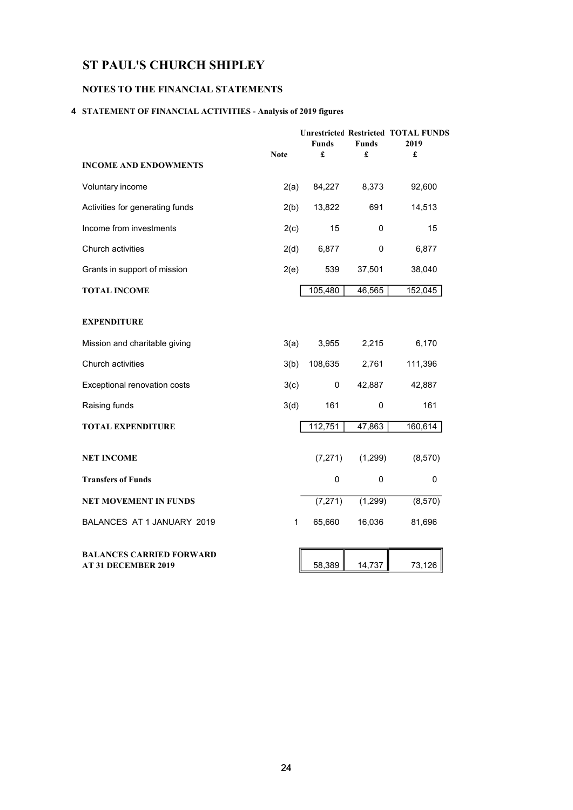### NOTES TO THE FINANCIAL STATEMENTS

### 4 STATEMENT OF FINANCIAL ACTIVITIES - Analysis of 2019 figures

|                                                               | <b>Note</b> | <b>Funds</b><br>£ | <b>Funds</b> | <b>Unrestricted Restricted TOTAL FUNDS</b><br>2019<br>£ |
|---------------------------------------------------------------|-------------|-------------------|--------------|---------------------------------------------------------|
| <b>INCOME AND ENDOWMENTS</b>                                  |             |                   | £            |                                                         |
| Voluntary income                                              | 2(a)        | 84,227            | 8,373        | 92,600                                                  |
| Activities for generating funds                               | 2(b)        | 13,822            | 691          | 14,513                                                  |
| Income from investments                                       | 2(c)        | 15                | 0            | 15                                                      |
| Church activities                                             | 2(d)        | 6,877             | 0            | 6,877                                                   |
| Grants in support of mission                                  | 2(e)        | 539               | 37,501       | 38,040                                                  |
| <b>TOTAL INCOME</b>                                           |             | 105,480           | 46,565       | 152,045                                                 |
| <b>EXPENDITURE</b>                                            |             |                   |              |                                                         |
| Mission and charitable giving                                 | 3(a)        | 3,955             | 2,215        | 6,170                                                   |
| Church activities                                             | 3(b)        | 108,635           | 2,761        | 111,396                                                 |
| Exceptional renovation costs                                  | 3(c)        | 0                 | 42,887       | 42,887                                                  |
| Raising funds                                                 | 3(d)        | 161               | 0            | 161                                                     |
| <b>TOTAL EXPENDITURE</b>                                      |             | 112,751           | 47,863       | 160,614                                                 |
| <b>NET INCOME</b>                                             |             | (7, 271)          | (1, 299)     | (8,570)                                                 |
| <b>Transfers of Funds</b>                                     |             | 0                 | $\mathbf 0$  | 0                                                       |
| <b>NET MOVEMENT IN FUNDS</b>                                  |             | (7, 271)          | (1,299)      | (8,570)                                                 |
| BALANCES AT 1 JANUARY 2019                                    | 1           | 65,660            | 16,036       | 81,696                                                  |
| <b>BALANCES CARRIED FORWARD</b><br><b>AT 31 DECEMBER 2019</b> |             | 58,389            | 14,737       | 73,126                                                  |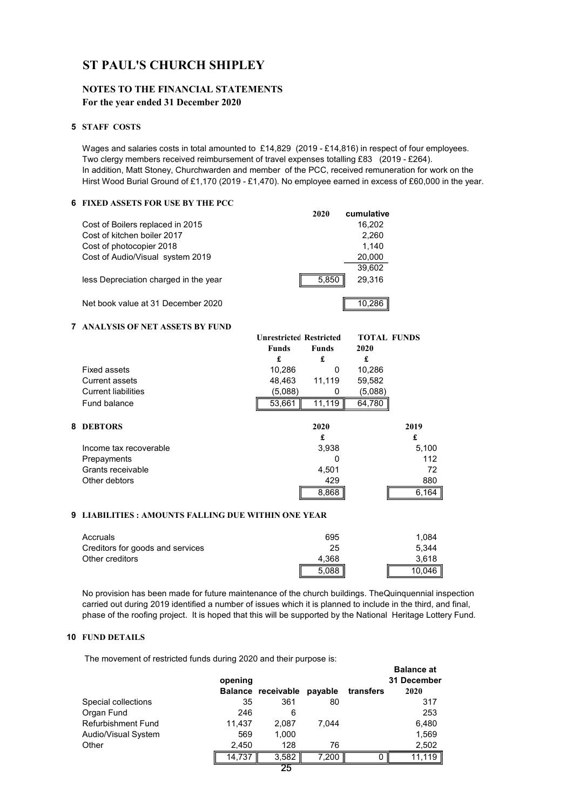### NOTES TO THE FINANCIAL STATEMENTS For the year ended 31 December 2020

#### 5 STAFF COSTS

Wages and salaries costs in total amounted to £14,829 (2019 - £14,816) in respect of four employees. Two clergy members received reimbursement of travel expenses totalling £83 (2019 - £264). In addition, Matt Stoney, Churchwarden and member of the PCC, received remuneration for work on the Hirst Wood Burial Ground of £1,170 (2019 - £1,470). No employee earned in excess of £60,000 in the year.

### 6 FIXED ASSETS FOR USE BY THE PCC

|   |                                       |                                | 2020         | cumulative         |       |
|---|---------------------------------------|--------------------------------|--------------|--------------------|-------|
|   | Cost of Boilers replaced in 2015      |                                |              | 16,202             |       |
|   | Cost of kitchen boiler 2017           |                                |              | 2,260              |       |
|   | Cost of photocopier 2018              |                                |              | 1,140              |       |
|   | Cost of Audio/Visual system 2019      |                                |              | 20,000             |       |
|   |                                       |                                |              | 39,602             |       |
|   | less Depreciation charged in the year |                                | 5,850        | 29,316             |       |
|   | Net book value at 31 December 2020    |                                |              | 10,286             |       |
| 7 | ANALYSIS OF NET ASSETS BY FUND        |                                |              |                    |       |
|   |                                       | <b>Unrestricted Restricted</b> |              | <b>TOTAL FUNDS</b> |       |
|   |                                       | <b>Funds</b>                   | <b>Funds</b> | 2020               |       |
|   |                                       | £                              | £            | £                  |       |
|   | <b>Fixed assets</b>                   | 10,286                         | $\Omega$     | 10,286             |       |
|   | <b>Current assets</b>                 | 48.463                         | 11,119       | 59,582             |       |
|   | <b>Current liabilities</b>            | (5,088)                        | 0            | (5,088)            |       |
|   | Fund balance                          | 53,661                         | 11,119       | 64,780             |       |
| 8 | <b>DEBTORS</b>                        |                                | 2020         |                    | 2019  |
|   |                                       |                                | £            |                    | £     |
|   | Income tax recoverable                |                                | 3,938        |                    | 5,100 |
|   | Prepayments                           |                                | 0            |                    | 112   |
|   | Grants receivable                     |                                | 4,501        |                    | 72    |
|   | Other debtors                         |                                | 429          |                    | 880   |
|   |                                       |                                | 8,868        |                    | 6,164 |
|   |                                       |                                |              |                    |       |

#### 9 LIABILITIES : AMOUNTS FALLING DUE WITHIN ONE YEAR

| Accruals                         | 695   | 1.084  |
|----------------------------------|-------|--------|
| Creditors for goods and services | 25    | 5.344  |
| Other creditors                  | 4.368 | 3.618  |
|                                  | 5.088 | 10,046 |

No provision has been made for future maintenance of the church buildings. TheQuinquennial inspection carried out during 2019 identified a number of issues which it is planned to include in the third, and final, phase of the roofing project. It is hoped that this will be supported by the National Heritage Lottery Fund.

### 10 FUND DETAILS

The movement of restricted funds during 2020 and their purpose is:

| opening |       | payable                  | transfers | <b>Balance at</b><br>31 December<br>2020 |
|---------|-------|--------------------------|-----------|------------------------------------------|
| 35      | 361   | 80                       |           | 317                                      |
| 246     | 6     |                          |           | 253                                      |
| 11,437  | 2,087 | 7.044                    |           | 6,480                                    |
| 569     | 1,000 |                          |           | 1,569                                    |
| 2,450   | 128   | 76                       |           | 2,502                                    |
| 14,737  | 3,582 | 7,200                    | 0         | 11.119                                   |
|         |       | Balance receivable<br>-- |           |                                          |